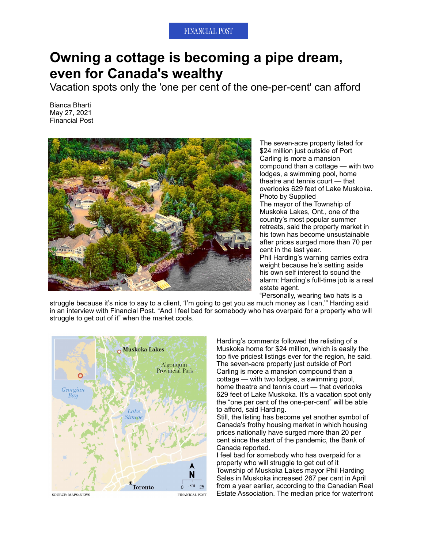## **FINANCIAL POST**

## **Owning a cottage is becoming a pipe dream, even for Canada's wealthy**

Vacation spots only the 'one per cent of the one-per-cent' can afford

Bianca Bharti May 27, 2021 Financial Post



The seven-acre property listed for \$24 million just outside of Port Carling is more a mansion compound than a cottage — with two lodges, a swimming pool, home theatre and tennis court — that overlooks 629 feet of Lake Muskoka. Photo by Supplied The mayor of the Township of Muskoka Lakes, Ont., one of the country's most popular summer retreats, said the property market in his town has become unsustainable after prices surged more than 70 per cent in the last year. Phil Harding's warning carries extra weight because he's setting aside his own self interest to sound the alarm: Harding's full-time job is a real estate agent.

"Personally, wearing two hats is a

struggle because it's nice to say to a client, 'I'm going to get you as much money as I can," Harding said in an interview with Financial Post. "And I feel bad for somebody who has overpaid for a property who will struggle to get out of it" when the market cools.



Harding's comments followed the relisting of a Muskoka home for \$24 million, which is easily the top five priciest listings ever for the region, he said. The seven-acre property just outside of Port Carling is more a mansion compound than a cottage — with two lodges, a swimming pool, home theatre and tennis court — that overlooks 629 feet of Lake Muskoka. It's a vacation spot only the "one per cent of the one-per-cent" will be able to afford, said Harding.

Still, the listing has become yet another symbol of Canada's frothy housing market in which housing prices nationally have surged more than 20 per cent since the start of the pandemic, the Bank of Canada reported.

I feel bad for somebody who has overpaid for a property who will struggle to get out of it Township of Muskoka Lakes mayor Phil Harding Sales in Muskoka increased 267 per cent in April from a year earlier, according to the Canadian Real Estate Association. The median price for waterfront